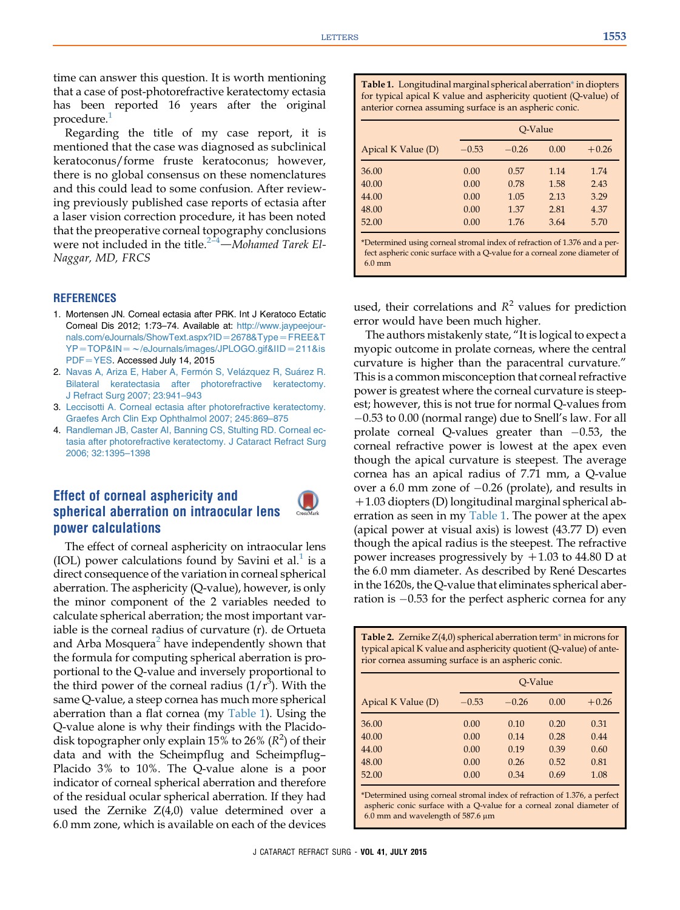<span id="page-0-0"></span>time can answer this question. It is worth mentioning that a case of post-photorefractive keratectomy ectasia has been reported 16 years after the original procedure.<sup>1</sup>

Regarding the title of my case report, it is mentioned that the case was diagnosed as subclinical keratoconus/forme fruste keratoconus; however, there is no global consensus on these nomenclatures and this could lead to some confusion. After reviewing previously published case reports of ectasia after a laser vision correction procedure, it has been noted that the preoperative corneal topography conclusions were not included in the title.<sup>2-4</sup>-Mohamed Tarek El-Naggar, MD, FRCS

### **REFERENCES**

- 1. Mortensen JN. Corneal ectasia after PRK. Int J Keratoco Ectatic Corneal Dis 2012; 1:73–74. Available at: [http://www.jaypeejour](http://www.jaypeejournals.com/eJournals/ShowText.aspx?ID=2678&Type=FREE&TYP=TOP&IN=%7E/eJournals/images/JPLOGO.gif&IID=211&isPDF=YES)[nals.com/eJournals/ShowText.aspx?ID](http://www.jaypeejournals.com/eJournals/ShowText.aspx?ID=2678&Type=FREE&TYP=TOP&IN=%7E/eJournals/images/JPLOGO.gif&IID=211&isPDF=YES)=2678&Type=FREE&T  $YP = TOP&IN = \sim$ [/eJournals/images/JPLOGO.gif&IID](http://www.jaypeejournals.com/eJournals/ShowText.aspx?ID=2678&Type=FREE&TYP=TOP&IN=%7E/eJournals/images/JPLOGO.gif&IID=211&isPDF=YES) = 211&is [PDF](http://www.jaypeejournals.com/eJournals/ShowText.aspx?ID=2678&Type=FREE&TYP=TOP&IN=%7E/eJournals/images/JPLOGO.gif&IID=211&isPDF=YES)=YES. Accessed July 14, 2015
- 2. [Navas A, Ariza E, Haber A, Ferm](http://refhub.elsevier.com/S0886-3350(15)00818-4/sref2)ó[n S, Vel](http://refhub.elsevier.com/S0886-3350(15)00818-4/sref2)ázquez R, Suárez R. [Bilateral keratectasia after photorefractive keratectomy.](http://refhub.elsevier.com/S0886-3350(15)00818-4/sref2) [J Refract Surg 2007; 23:941–943](http://refhub.elsevier.com/S0886-3350(15)00818-4/sref2)
- 3. [Leccisotti A. Corneal ectasia after photorefractive keratectomy.](http://refhub.elsevier.com/S0886-3350(15)00818-4/sref3) [Graefes Arch Clin Exp Ophthalmol 2007; 245:869–875](http://refhub.elsevier.com/S0886-3350(15)00818-4/sref3)
- 4. [Randleman JB, Caster AI, Banning CS, Stulting RD. Corneal ec](http://refhub.elsevier.com/S0886-3350(15)00818-4/sref4)[tasia after photorefractive keratectomy. J Cataract Refract Surg](http://refhub.elsevier.com/S0886-3350(15)00818-4/sref4) [2006; 32:1395–1398](http://refhub.elsevier.com/S0886-3350(15)00818-4/sref4)

# Effect of corneal asphericity and spherical aberration on intraocular lens power calculations

The effect of corneal asphericity on intraocular lens (IOL) power calculations found by Savini et al.<sup>[1](#page-1-0)</sup> is a direct consequence of the variation in corneal spherical aberration. The asphericity (Q-value), however, is only the minor component of the 2 variables needed to calculate spherical aberration; the most important variable is the corneal radius of curvature (r). de Ortueta and Arba Mosquera<sup>[2](#page-1-0)</sup> have independently shown that the formula for computing spherical aberration is proportional to the Q-value and inversely proportional to the third power of the corneal radius  $(1/r<sup>3</sup>)$ . With the same Q-value, a steep cornea has much more spherical aberration than a flat cornea (my Table 1). Using the Q-value alone is why their findings with the Placidodisk topographer only explain 15% to 26% ( $R^2$ ) of their data and with the Scheimpflug and Scheimpflug– Placido 3% to 10%. The Q-value alone is a poor indicator of corneal spherical aberration and therefore of the residual ocular spherical aberration. If they had used the Zernike Z(4,0) value determined over a 6.0 mm zone, which is available on each of the devices

Table 1. Longitudinal marginal spherical aberration\* in diopters for typical apical K value and asphericity quotient (Q-value) of anterior cornea assuming surface is an aspheric conic.

|                    | O-Value |         |      |         |
|--------------------|---------|---------|------|---------|
| Apical K Value (D) | $-0.53$ | $-0.26$ | 0.00 | $+0.26$ |
| 36.00              | 0.00    | 0.57    | 1.14 | 1.74    |
| 40.00              | 0.00    | 0.78    | 1.58 | 2.43    |
| 44.00              | 0.00    | 1.05    | 2.13 | 3.29    |
| 48.00              | 0.00    | 1.37    | 2.81 | 4.37    |
| 52.00              | 0.00    | 1.76    | 3.64 | 5.70    |

\*Determined using corneal stromal index of refraction of 1.376 and a perfect aspheric conic surface with a Q-value for a corneal zone diameter of 6.0 mm

used, their correlations and  $R^2$  values for prediction error would have been much higher.

The authors mistakenly state, "It is logical to expect a myopic outcome in prolate corneas, where the central curvature is higher than the paracentral curvature." This is a common misconception that corneal refractive power is greatest where the corneal curvature is steepest; however, this is not true for normal Q-values from 0.53 to 0.00 (normal range) due to Snell's law. For all prolate corneal Q-values greater than  $-0.53$ , the corneal refractive power is lowest at the apex even though the apical curvature is steepest. The average cornea has an apical radius of 7.71 mm, a Q-value over a 6.0 mm zone of  $-0.26$  (prolate), and results in  $+1.03$  diopters (D) longitudinal marginal spherical aberration as seen in my Table 1. The power at the apex (apical power at visual axis) is lowest (43.77 D) even though the apical radius is the steepest. The refractive power increases progressively by  $+1.03$  to 44.80 D at the 6.0 mm diameter. As described by René Descartes in the 1620s, the Q-value that eliminates spherical aberration is  $-0.53$  for the perfect aspheric cornea for any

|                                                                                                                                                                                                | Table 2. Zernike $Z(4,0)$ spherical aberration term <sup>*</sup> in microns for<br>typical apical K value and asphericity quotient (Q-value) of ante-<br>rior cornea assuming surface is an aspheric conic. |         |      |         |  |
|------------------------------------------------------------------------------------------------------------------------------------------------------------------------------------------------|-------------------------------------------------------------------------------------------------------------------------------------------------------------------------------------------------------------|---------|------|---------|--|
|                                                                                                                                                                                                | O-Value                                                                                                                                                                                                     |         |      |         |  |
| Apical K Value (D)                                                                                                                                                                             | $-0.53$                                                                                                                                                                                                     | $-0.26$ | 0.00 | $+0.26$ |  |
| 36.00                                                                                                                                                                                          | 0.00                                                                                                                                                                                                        | 0.10    | 0.20 | 0.31    |  |
| 40.00                                                                                                                                                                                          | 0.00                                                                                                                                                                                                        | 0.14    | 0.28 | 0.44    |  |
| 44.00                                                                                                                                                                                          | 0.00                                                                                                                                                                                                        | 0.19    | 0.39 | 0.60    |  |
| 48.00                                                                                                                                                                                          | 0.00                                                                                                                                                                                                        | 0.26    | 0.52 | 0.81    |  |
| 52.00                                                                                                                                                                                          | 0.00                                                                                                                                                                                                        | 0.34    | 0.69 | 1.08    |  |
| *Determined using corneal stromal index of refraction of 1.376, a perfect<br>aspheric conic surface with a Q-value for a corneal zonal diameter of<br>$6.0$ mm and wavelength of 587.6 $\mu$ m |                                                                                                                                                                                                             |         |      |         |  |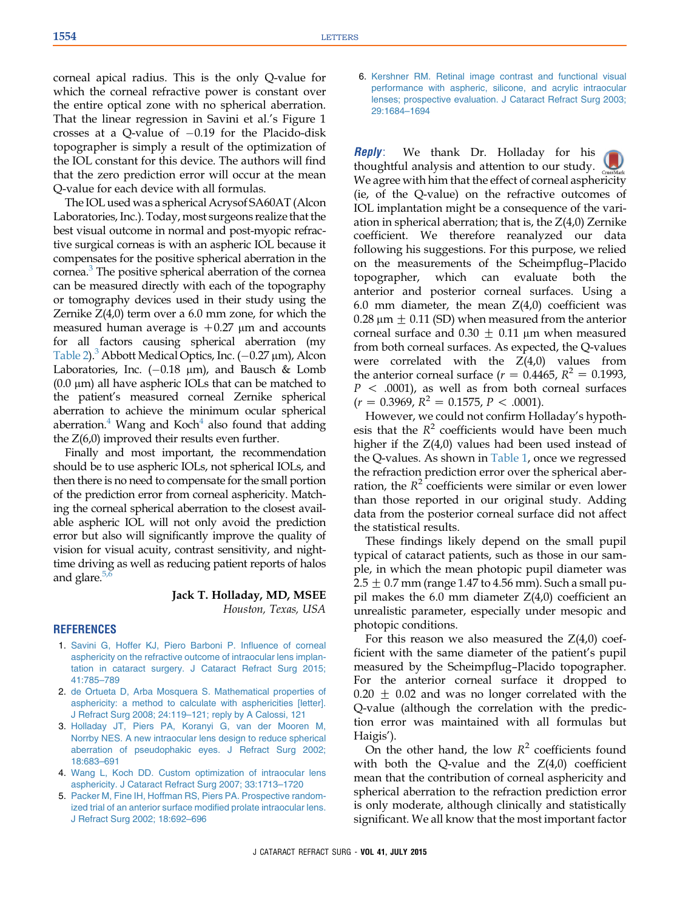<span id="page-1-0"></span>corneal apical radius. This is the only Q-value for which the corneal refractive power is constant over the entire optical zone with no spherical aberration. That the linear regression in Savini et al.'s Figure 1 crosses at a Q-value of  $-0.19$  for the Placido-disk topographer is simply a result of the optimization of the IOL constant for this device. The authors will find that the zero prediction error will occur at the mean Q-value for each device with all formulas.

The IOL used was a spherical Acrysof SA60AT (Alcon Laboratories, Inc.). Today, most surgeons realize that the best visual outcome in normal and post-myopic refractive surgical corneas is with an aspheric IOL because it compensates for the positive spherical aberration in the cornea.<sup>3</sup> The positive spherical aberration of the cornea can be measured directly with each of the topography or tomography devices used in their study using the Zernike  $Z(4,0)$  term over a 6.0 mm zone, for which the measured human average is  $+0.27$  µm and accounts for all factors causing spherical aberration (my [Table 2](#page-0-0)).<sup>3</sup> Abbott Medical Optics, Inc.  $(-0.27 \,\mu m)$ , Alcon Laboratories, Inc.  $(-0.18 \mu m)$ , and Bausch & Lomb  $(0.0 \mu m)$  all have aspheric IOLs that can be matched to the patient's measured corneal Zernike spherical aberration to achieve the minimum ocular spherical aberration. $4$  Wang and Koch $4$  also found that adding the Z(6,0) improved their results even further.

Finally and most important, the recommendation should be to use aspheric IOLs, not spherical IOLs, and then there is no need to compensate for the small portion of the prediction error from corneal asphericity. Matching the corneal spherical aberration to the closest available aspheric IOL will not only avoid the prediction error but also will significantly improve the quality of vision for visual acuity, contrast sensitivity, and nighttime driving as well as reducing patient reports of halos and glare. $5$ ,

### Jack T. Holladay, MD, MSEE Houston, Texas, USA

#### **REFERENCES**

- 1. [Savini G, Hoffer KJ, Piero Barboni P. Influence of corneal](http://refhub.elsevier.com/S0886-3350(15)00821-4/sref1) [asphericity on the refractive outcome of intraocular lens implan](http://refhub.elsevier.com/S0886-3350(15)00821-4/sref1)[tation in cataract surgery. J Cataract Refract Surg 2015;](http://refhub.elsevier.com/S0886-3350(15)00821-4/sref1) [41:785–789](http://refhub.elsevier.com/S0886-3350(15)00821-4/sref1)
- 2. [de Ortueta D, Arba Mosquera S. Mathematical properties of](http://refhub.elsevier.com/S0886-3350(15)00818-4/sref2) [asphericity: a method to calculate with asphericities \[letter\].](http://refhub.elsevier.com/S0886-3350(15)00818-4/sref2) [J Refract Surg 2008; 24:119–121; reply by A Calossi, 121](http://refhub.elsevier.com/S0886-3350(15)00818-4/sref2)
- 3. [Holladay JT, Piers PA, Koranyi G, van der Mooren M,](http://refhub.elsevier.com/S0886-3350(15)00818-4/sref3) [Norrby NES. A new intraocular lens design to reduce spherical](http://refhub.elsevier.com/S0886-3350(15)00818-4/sref3) [aberration of pseudophakic eyes. J Refract Surg 2002;](http://refhub.elsevier.com/S0886-3350(15)00818-4/sref3) [18:683–691](http://refhub.elsevier.com/S0886-3350(15)00818-4/sref3)
- 4. [Wang L, Koch DD. Custom optimization of intraocular lens](http://refhub.elsevier.com/S0886-3350(15)00818-4/sref4) [asphericity. J Cataract Refract Surg 2007; 33:1713–1720](http://refhub.elsevier.com/S0886-3350(15)00818-4/sref4)
- 5. [Packer M, Fine IH, Hoffman RS, Piers PA. Prospective random](http://refhub.elsevier.com/S0886-3350(15)00821-4/sref5)[ized trial of an anterior surface modified prolate intraocular lens.](http://refhub.elsevier.com/S0886-3350(15)00821-4/sref5) [J Refract Surg 2002; 18:692–696](http://refhub.elsevier.com/S0886-3350(15)00821-4/sref5)

6. [Kershner RM. Retinal image contrast and functional visual](http://refhub.elsevier.com/S0886-3350(15)00821-4/sref6) [performance with aspheric, silicone, and acrylic intraocular](http://refhub.elsevier.com/S0886-3350(15)00821-4/sref6) [lenses; prospective evaluation. J Cataract Refract Surg 2003;](http://refhub.elsevier.com/S0886-3350(15)00821-4/sref6) [29:1684–1694](http://refhub.elsevier.com/S0886-3350(15)00821-4/sref6)

**Reply**: We thank Dr. Holladay for his thoughtful analysis and attention to our study. We agree with him that the effect of corneal asphericity (ie, of the Q-value) on the refractive outcomes of IOL implantation might be a consequence of the variation in spherical aberration; that is, the  $Z(4,0)$  Zernike coefficient. We therefore reanalyzed our data following his suggestions. For this purpose, we relied on the measurements of the Scheimpflug–Placido topographer, which can evaluate both the anterior and posterior corneal surfaces. Using a 6.0 mm diameter, the mean  $Z(4,0)$  coefficient was 0.28  $\mu$ m  $\pm$  0.11 (SD) when measured from the anterior corneal surface and  $0.30 \pm 0.11$  µm when measured from both corneal surfaces. As expected, the Q-values were correlated with the  $Z(4,0)$  values from the anterior corneal surface ( $r = 0.4465$ ,  $R^2 = 0.1993$ ,  $P < .0001$ ), as well as from both corneal surfaces  $(r = 0.3969, R^2 = 0.1575, P < .0001).$ 

However, we could not confirm Holladay's hypothesis that the  $R^2$  coefficients would have been much higher if the Z(4,0) values had been used instead of the Q-values. As shown in Table 1, once we regressed the refraction prediction error over the spherical aberration, the  $R^2$  coefficients were similar or even lower than those reported in our original study. Adding data from the posterior corneal surface did not affect the statistical results.

These findings likely depend on the small pupil typical of cataract patients, such as those in our sample, in which the mean photopic pupil diameter was  $2.5 \pm 0.7$  mm (range 1.47 to 4.56 mm). Such a small pupil makes the 6.0 mm diameter Z(4,0) coefficient an unrealistic parameter, especially under mesopic and photopic conditions.

For this reason we also measured the  $Z(4,0)$  coefficient with the same diameter of the patient's pupil measured by the Scheimpflug–Placido topographer. For the anterior corneal surface it dropped to  $0.20 \pm 0.02$  and was no longer correlated with the Q-value (although the correlation with the prediction error was maintained with all formulas but Haigis').

On the other hand, the low  $R^2$  coefficients found with both the Q-value and the  $Z(4,0)$  coefficient mean that the contribution of corneal asphericity and spherical aberration to the refraction prediction error is only moderate, although clinically and statistically significant. We all know that the most important factor